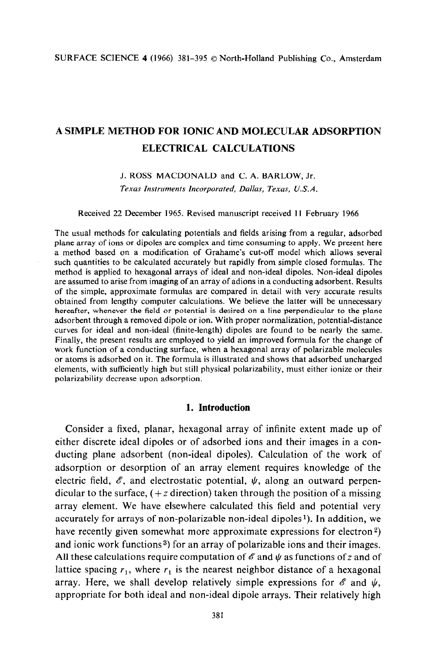# **A SIMPLE METHOD FOR IONIC AND MOLECULAR ADSORPTION ELECTRICAL CALCULATIONS**

J. ROSS MACDONALD and C. A. BARLOW, Jr. *Texas Instruments Incorporated, Dallas, Texas, U.S.A.* 

### Received 22 December 1965. Revised manuscript received 11 February 1966

The usual methods for calculating potentials and fields arising from a regular, adsorbed plane array of ions or dipoles are complex and time consuming to apply. We present here a method based on a modification of Grahame's cut-off model which allows several such quantities to be calculated accurately but rapidly from simple closed formulas. The method is applied to hexagonal arrays of ideal and non-ideal dipoles. Non-ideal dipoles are assumed to arise from imaging of an array of adions in a conducting adsorbent. Results of the simple, approximate formulas are compared in detail with very accurate results obtained from lengthy computer calculations. We believe the latter will be unnecessary hereafter, whenever the field or potential is desired on a line perpendicular to the plane adsorbent through a removed dipole or ion. With proper normalization, potential-distance curves for ideal and non-ideal (finite-length) dipoles are found to be nearly the same. Finally, the present results are employed to yield an improved formula for the change of work function of a conducting surface, when a hexagonal array of polarizable molecules or atoms is adsorbed on it. The formula is illustrated and shows that adsorbed uncharged elements, with sufficiently high but still physical polarizability, must either ionize or their polarizability decrease upon adsorption.

## **1. Introduction**

Consider a fixed, planar, hexagonal array of infinite extent made up of either discrete ideal dipoles or of adsorbed ions and their images in a conducting plane adsorbent (non-ideal dipoles). Calculation of the work of adsorption or desorption of an array element requires knowledge of the electric field,  $\mathscr E$ , and electrostatic potential,  $\psi$ , along an outward perpendicular to the surface,  $(+ z$  direction) taken through the position of a missing array element. We have elsewhere calculated this field and potential very accurately for arrays of non-polarizable non-ideal dipoles<sup>1</sup>). In addition, we have recently given somewhat more approximate expressions for electron<sup>2</sup>) and ionic work functions<sup>3</sup>) for an array of polarizable ions and their images. All these calculations require computation of  $\mathscr E$  and  $\psi$  as functions of z and of lattice spacing  $r_1$ , where  $r_1$  is the nearest neighbor distance of a hexagonal array. Here, we shall develop relatively simple expressions for  $\mathscr E$  and  $\psi$ , appropriate for both ideal and non-ideal dipole arrays. Their relatively high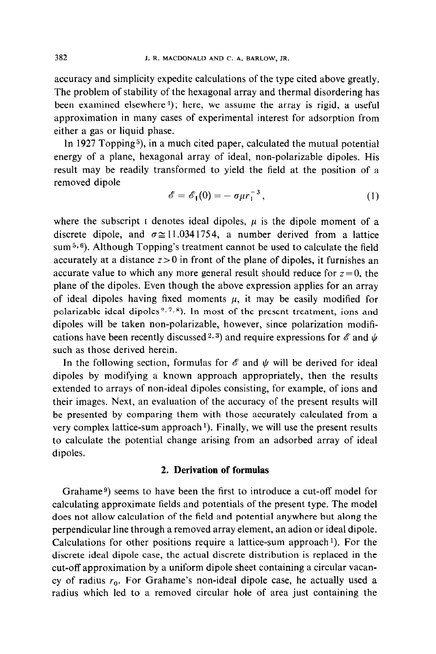accuracy and simplicity expedite calculations of the type cited above greatly. The problem of stability of the hexagonal array and thermal disordering has been examined elsewhere<sup>4</sup>); here, we assume the array is rigid, a useful approximation in many cases of experimental interest for adsorption from either a gas or liquid phase.

In 1927 Topping<sup>5</sup>), in a much cited paper, calculated the mutual potential energy of a plane, hexagonal array of ideal, non-polarizable dipoles. His result may be readily transformed to yield the field at the position of a removed dipole

$$
\mathscr{E} = \mathscr{E}_{\mathbf{I}}(0) = -\sigma \mu r_{1}^{-3}, \qquad (1)
$$

where the subscript I denotes ideal dipoles,  $\mu$  is the dipole moment of a discrete dipole, and  $\sigma \approx 11.0341754$ , a number derived from a lattice sum  $5,6$ ). Although Topping's treatment cannot be used to calculate the field accurately at a distance  $z > 0$  in front of the plane of dipoles, it furnishes an accurate value to which any more general result should reduce for  $z = 0$ , the plane of the dipoles. Even though the above expression applies for an array of ideal dipoles having fixed moments  $\mu$ , it may be easily modified for polarizable ideal dipoles  $^{2,7,8}$ ). In most of the present treatment, ions and dipoles will be taken non-polarizable, however, since polarization modifications have been recently discussed 2, 3) and require expressions for  $\mathscr E$  and  $\psi$ such as those derived herein.

In the following section, formulas for  $\mathscr E$  and  $\psi$  will be derived for ideal dipoles by modifying a known approach appropriately, then the results extended to arrays of non-ideal dipoles consisting, for example, of ions and their images. Next, an evaluation of the accuracy of the present results will be presented by comparing them with those accurately calculated from a very complex lattice-sum approach<sup> $1$ </sup>). Finally, we will use the present results to calculate the potential change arising from an adsorbed array of ideal dipoles.

# 2. **Derivation of formulas**

Grahame<sup>9</sup>) seems to have been the first to introduce a cut-off model for calculating approximate fields and potentials of the present type. The model does not allow calculation of the field and potential anywhere but along the perpendicular line through a removed array element, an adion or ideal dipole. Calculations for other positions require a lattice-sum approach'). For the discrete ideal dipole case, the actual discrete distribution is replaced in the cut-off approximation by a uniform dipole sheet containing a circular vacancy of radius  $r_0$ . For Grahame's non-ideal dipole case, he actually used a radius which led to a removed circular hole of area just containing the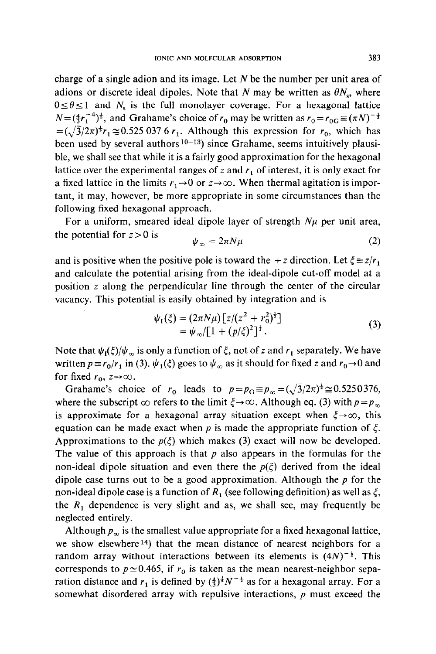charge of a single adion and its image. Let  $N$  be the number per unit area of adions or discrete ideal dipoles. Note that N may be written as  $\theta N_s$ , where  $0 \le \theta \le 1$  and  $N_s$  is the full monolayer coverage. For a hexagonal lattice  $N=(\frac{4}{3}r_1^{-4})^{\frac{1}{2}}$ , and Grahame's choice of  $r_0$  may be written as  $r_0 = r_{0}$   $\equiv (\pi N)^{-\frac{1}{2}}$  $=(\sqrt{3}/2\pi)^{\frac{1}{2}}r_1 \approx 0.525 037 6 r_1$ . Although this expression for  $r_0$ , which has been used by several authors<sup>10-13</sup>) since Grahame, seems intuitively plausible, we shall see that while it is a fairly good approximation for the hexagonal lattice over the experimental ranges of  $z$  and  $r_1$  of interest, it is only exact for a fixed lattice in the limits  $r_1 \rightarrow 0$  or  $z \rightarrow \infty$ . When thermal agitation is important, it may, however, be more appropriate in some circumstances than the following fixed hexagonal approach.

For a uniform, smeared ideal dipole layer of strength  $N\mu$  per unit area, the potential for  $z > 0$  is

$$
\psi_{\infty} = 2\pi N\mu \tag{2}
$$

and is positive when the positive pole is toward the  $+z$  direction. Let  $\xi \equiv z/r_1$ and calculate the potential arising from the ideal-dipole cut-off model at a position z along the perpendicular line through the center of the circular vacancy. This potential is easily obtained by integration and is

$$
\psi_1(\xi) = (2\pi N\mu) \left[ z/(z^2 + r_0^2)^{\frac{1}{2}} \right] \n= \psi_{\infty} / \left[ 1 + (p/\xi)^2 \right]^{\frac{1}{2}}.
$$
\n(3)

Note that  $\psi_I(\xi)/\psi_\infty$  is only a function of  $\xi$ , not of z and  $r_1$  separately. We have written  $p \equiv r_0/r_1$  in (3).  $\psi_1(\xi)$  goes to  $\psi_\infty$  as it should for fixed z and  $r_0 \rightarrow 0$  and for fixed  $r_0$ ,  $z \rightarrow \infty$ .

Grahame's choice of  $r_0$  leads to  $p = p_G \equiv p_\infty = (\sqrt{3}/2\pi)^{\frac{1}{2}} \approx 0.5250376$ , where the subscript  $\infty$  refers to the limit  $\xi \rightarrow \infty$ . Although eq. (3) with  $p=p_{\infty}$ is approximate for a hexagonal array situation except when  $\xi \rightarrow \infty$ , this equation can be made exact when p is made the appropriate function of  $\zeta$ . Approximations to the  $p(\xi)$  which makes (3) exact will now be developed. The value of this approach is that  $p$  also appears in the formulas for the non-ideal dipole situation and even there the  $p(\xi)$  derived from the ideal dipole case turns out to be a good approximation. Although the  $p$  for the non-ideal dipole case is a function of  $R_1$  (see following definition) as well as  $\xi$ , the  $R_1$  dependence is very slight and as, we shall see, may frequently be neglected entirely.

Although  $p_{\infty}$  is the smallest value appropriate for a fixed hexagonal lattice, we show elsewhere<sup>14</sup>) that the mean distance of nearest neighbors for a random array without interactions between its elements is  $(4N)^{-\frac{1}{2}}$ . This corresponds to  $p \approx 0.465$ , if  $r_0$  is taken as the mean nearest-neighbor separation distance and  $r_1$  is defined by  $(\frac{4}{3})^{\frac{1}{4}}N^{-\frac{1}{2}}$  as for a hexagonal array. For a somewhat disordered array with repulsive interactions,  $p$  must exceed the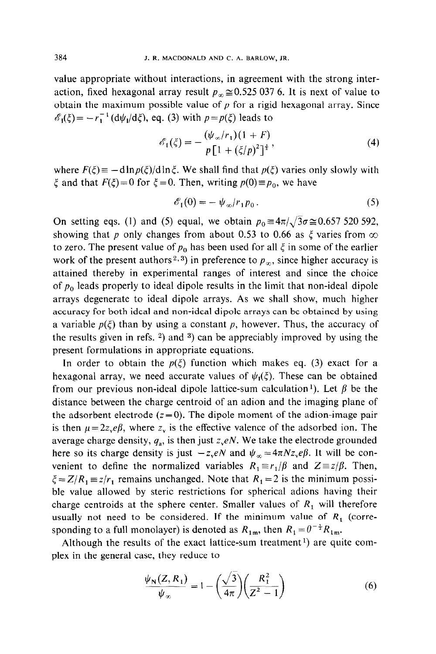value appropriate without interactions, in agreement with the strong interaction, fixed hexagonal array result  $p_{\infty} \approx 0.525 037 6$ . It is next of value to obtain the maximum possible value of  $p$  for a rigid hexagonal array. Since  $\mathscr{E}_1(\xi) = -r_1^{-1} (\mathrm{d}\psi_1/\mathrm{d}\xi)$ , eq. (3) with  $p = p(\xi)$  leads to

$$
\mathscr{E}_1(\xi) = -\frac{(\psi_{\infty}/r_1)(1+F)}{p[1+(\xi/p)^2]^{\frac{3}{2}}},\tag{4}
$$

where  $F(\xi) = -d \ln p(\xi)/d \ln \xi$ . We shall find that  $p(\xi)$  varies only slowly with  $\xi$  and that  $F(\xi)=0$  for  $\xi=0$ . Then, writing  $p(0)=p_0$ , we have

$$
\mathscr{E}_1(0) = -\psi_\infty/r_1 p_0. \tag{5}
$$

On setting eqs. (1) and (5) equal, we obtain  $p_0 \equiv 4\pi/\sqrt{3}\sigma \approx 0.657\,520\,592$ , showing that p only changes from about 0.53 to 0.66 as  $\xi$  varies from  $\infty$ to zero. The present value of  $p_0$  has been used for all  $\xi$  in some of the earlier work of the present authors<sup>2, 3</sup>) in preference to  $p_\infty$ , since higher accuracy is attained thereby in experimental ranges of interest and since the choice of  $p_0$  leads properly to ideal dipole results in the limit that non-ideal dipole arrays degenerate to idea1 dipole arrays. As we shall show, much higher accuracy for both idea1 and non-idea1 dipole arrays can be obtained by using a variable  $p(\xi)$  than by using a constant p, however. Thus, the accuracy of the results given in refs.  $2$ ) and  $3$ ) can be appreciably improved by using the present formulations in appropriate equations.

In order to obtain the  $p(\xi)$  function which makes eq. (3) exact for a hexagonal array, we need accurate values of  $\psi_1(\xi)$ . These can be obtained from our previous non-ideal dipole lattice-sum calculation<sup>1</sup>). Let  $\beta$  be the distance between the charge centroid of an adion and the imaging plane of the adsorbent electrode  $(z=0)$ . The dipole moment of the adion-image pair is then  $\mu=2z,e\beta$ , where  $z<sub>y</sub>$  is the effective valence of the adsorbed ion. The average charge density,  $q_a$ , is then just  $z_x \in N$ . We take the electrode grounded here so its charge density is just  $-z_xeN$  and  $\psi_{\infty} = 4\pi Nz_xe\beta$ . It will be convenient to define the normalized variables  $R_1 \equiv r_1/\beta$  and  $Z \equiv z/\beta$ . Then,  $\xi = Z/R_1 \equiv z/r_1$  remains unchanged. Note that  $R_1 = 2$  is the minimum possible value allowed by steric restrictions for spherical adions having their charge centroids at the sphere center. Smaller values of  $R_1$  will therefore usually not need to be considered. If the minimum value of  $R_1$  (corresponding to a full monolayer) is denoted as  $R_{1m}$ , then  $R_1 = \theta^{-\frac{1}{2}} R_{1m}$ .

Although the results of the exact lattice-sum treatment<sup>1</sup>) are quite complex in the general case, they reduce to

$$
\frac{\psi_{N}(Z,R_{1})}{\psi_{\infty}} = 1 - \left(\frac{\sqrt{3}}{4\pi}\right)\left(\frac{R_{1}^{2}}{Z^{2}-1}\right)
$$
(6)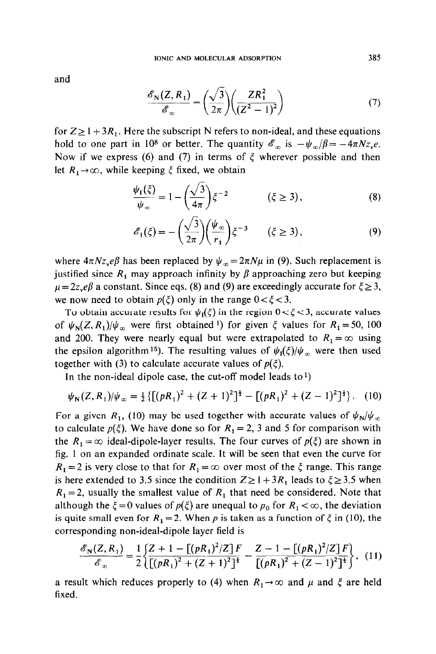and

$$
\frac{\mathscr{E}_{\mathbf{N}}(Z,R_1)}{\mathscr{E}_{\infty}} = \left(\frac{\sqrt{3}}{2\pi}\right) \left(\frac{ZR_1^2}{(Z^2-1)^2}\right) \tag{7}
$$

for  $Z \ge 1 + 3R_1$ . Here the subscript N refers to non-ideal, and these equations hold to one part in 10<sup>8</sup> or better. The quantity  $\mathscr{E}_{\infty}$  is  $-\psi_{\infty}/\beta = -4\pi Nz_{\infty}e$ . Now if we express (6) and (7) in terms of  $\xi$  wherever possible and then let  $R_1 \rightarrow \infty$ , while keeping  $\xi$  fixed, we obtain

$$
\frac{\psi_1(\xi)}{\psi_{\infty}} = 1 - \left(\frac{\sqrt{3}}{4\pi}\right)\xi^{-2} \qquad (\xi \ge 3), \qquad (8)
$$

$$
\mathscr{E}_1(\xi) = -\left(\frac{\sqrt{3}}{2\pi}\right)\left(\frac{\psi_\infty}{r_1}\right)\xi^{-3} \qquad (\xi \ge 3),\tag{9}
$$

where  $4\pi Nz_{\rm v}e\beta$  has been replaced by  $\psi_{\infty} = 2\pi N\mu$  in (9). Such replacement is justified since  $R_1$  may approach infinity by  $\beta$  approaching zero but keeping  $\mu = 2z$ ,  $e\beta$  a constant. Since eqs. (8) and (9) are exceedingly accurate for  $\xi \ge 3$ , we now need to obtain  $p(\xi)$  only in the range  $0 < \xi < 3$ .

To obtain accurate results for  $\psi_1(\xi)$  in the region  $0 < \xi < 3$ , accurate values of  $\psi_N(Z, R_1)/\psi_\infty$  were first obtained <sup>1</sup>) for given  $\xi$  values for  $R_1 = 50$ , 100 and 200. They were nearly equal but were extrapolated to  $R_1 = \infty$  using the epsilon algorithm<sup>15</sup>). The resulting values of  $\psi_1(\xi)/\psi_\infty$  were then used together with (3) to calculate accurate values of  $p(\xi)$ .

In the non-ideal dipole case, the cut-off model leads to<sup>1</sup>)

$$
\psi_{N}(Z,R_{1})/\psi_{\infty} = \frac{1}{2}\left\{ \left[ (pR_{1})^{2} + (Z+1)^{2} \right]^{2} - \left[ (pR_{1})^{2} + (Z-1)^{2} \right]^{2} \right\}. (10)
$$

For a given R<sub>1</sub>, (10) may be used together with accurate values of  $\psi_N/\psi_\infty$ to calculate  $p(\xi)$ . We have done so for  $R_1 = 2$ , 3 and 5 for comparison with the  $R_1 = \infty$  ideal-dipole-layer results. The four curves of  $p(\xi)$  are shown in fig. 1 on an expanded ordinate scale. It will be seen that even the curve for  $R_1 = 2$  is very close to that for  $R_1 = \infty$  over most of the  $\zeta$  range. This range is here extended to 3.5 since the condition  $Z \ge 1 + 3R_1$  leads to  $\xi \ge 3.5$  when  $R_1 = 2$ , usually the smallest value of  $R_1$  that need be considered. Note that although the  $\xi = 0$  values of  $p(\xi)$  are unequal to  $p_0$  for  $R_1 < \infty$ , the deviation is quite small even for  $R_1 = 2$ . When p is taken as a function of  $\xi$  in (10), the corresponding non-ideal-dipole layer field is

$$
\frac{\mathscr{E}_{\mathbf{N}}(Z,R_1)}{\mathscr{E}_{\infty}} = \frac{1}{2} \left\{ \frac{Z+1 - \left[ (pR_1)^2/Z \right] F}{\left[ (pR_1)^2 + (Z+1)^2 \right]^{\frac{1}{2}}} - \frac{Z-1 - \left[ (pR_1)^2/Z \right] F}{\left[ (pR_1)^2 + (Z-1)^2 \right]^{\frac{1}{2}}} \right\}, \tag{11}
$$

a result which reduces properly to (4) when  $R_1 \rightarrow \infty$  and  $\mu$  and  $\xi$  are held fixed.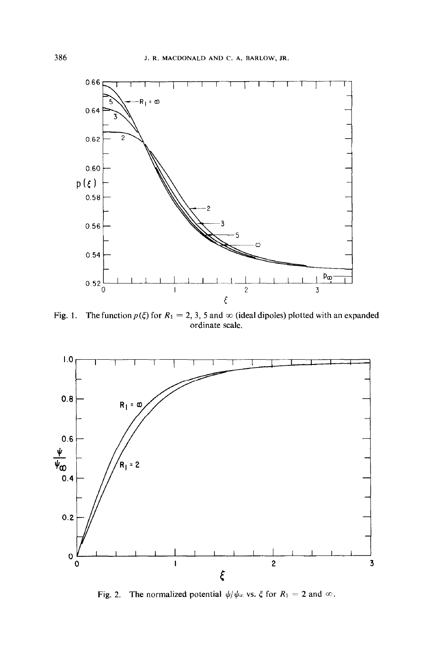

Fig. 1. The function  $p(\xi)$  for  $R_1 = 2, 3, 5$  and  $\infty$  (ideal dipoles) plotted with an expanded ordinate scale.



Fig. 2. The normalized potential  $\psi/\psi_\infty$  vs.  $\xi$  for  $R_1 = 2$  and  $\infty$ .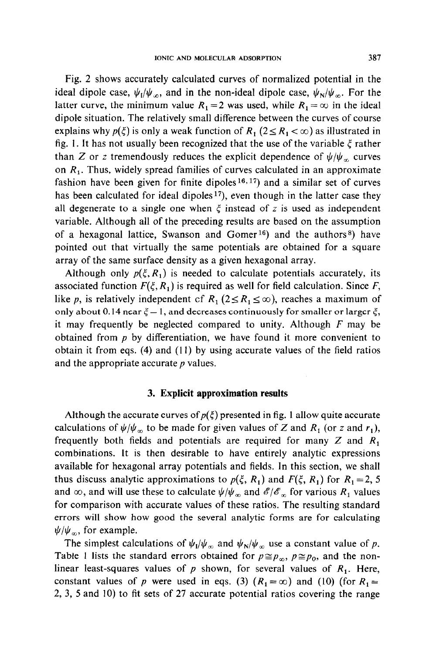Fig. 2 shows accurately calculated curves of normalized potential in the ideal dipole case,  $\psi_I/\psi_\infty$ , and in the non-ideal dipole case,  $\psi_N/\psi_\infty$ . For the latter curve, the minimum value  $R_1 = 2$  was used, while  $R_1 = \infty$  in the ideal dipole situation. The relatively small difference between the curves of course explains why  $p(\xi)$  is only a weak function of  $R_1$  ( $2 \le R_1 < \infty$ ) as illustrated in fig. 1. It has not usually been recognized that the use of the variable  $\xi$  rather than Z or z tremendously reduces the explicit dependence of  $\psi/\psi_{\alpha}$  curves on  $R<sub>1</sub>$ . Thus, widely spread families of curves calculated in an approximate fashion have been given for finite dipoles  $16, 17$  and a similar set of curves has been calculated for ideal dipoles<sup>17</sup>), even though in the latter case they all degenerate to a single one when  $\xi$  instead of z is used as independent variable. Although all of the preceding results are based on the assumption of a hexagonal lattice, Swanson and Gomer<sup>16</sup>) and the authors<sup>8</sup>) have pointed out that virtually the same potentials are obtained for a square array of the same surface density as a given hexagonal array.

Although only  $p(\xi, R_1)$  is needed to calculate potentials accurately, its associated function  $F(\xi, R_1)$  is required as well for field calculation. Since *F*, like p, is relatively independent of  $R_1$  ( $2 \le R_1 \le \infty$ ), reaches a maximum of only about 0.14 near  $\xi = 1$ , and decreases continuously for smaller or larger  $\xi$ , it may frequently be neglected compared to unity. Although *F* may be obtained from *p* by differentiation, we have found it more convenient to obtain it from eqs.  $(4)$  and  $(11)$  by using accurate values of the field ratios and the appropriate accurate *p* values.

### 3. **Explicit approximation results**

Although the accurate curves of  $p(\xi)$  presented in fig. 1 allow quite accurate calculations of  $\psi/\psi_{\infty}$  to be made for given values of Z and  $R_1$  (or z and  $r_1$ ), frequently both fields and potentials are required for many Z and *R,*  combinations. It is then desirable to have entirely analytic expressions available for hexagonal array potentials and fields. In this section, we shall thus discuss analytic approximations to  $p(\xi, R_1)$  and  $F(\xi, R_1)$  for  $R_1 = 2, 5$ and  $\infty$ , and will use these to calculate  $\psi/\psi_{\infty}$  and  $\mathscr{E}/\mathscr{E}_{\infty}$  for various  $R_1$  values for comparison with accurate values of these ratios. The resulting standard errors will show how good the several analytic forms are for calculating  $\psi/\psi_{\infty}$ , for example.

The simplest calculations of  $\psi_1/\psi_\infty$  and  $\psi_N/\psi_\infty$  use a constant value of p. Table 1 lists the standard errors obtained for  $p \approx p_{\infty}$ ,  $p \approx p_0$ , and the nonlinear least-squares values of  $p$  shown, for several values of  $R_1$ . Here, constant values of p were used in eqs. (3)  $(R_1 = \infty)$  and (10) (for  $R_1 =$ **2, 3, 5** and IO) to fit sets of 27 accurate potential ratios covering the range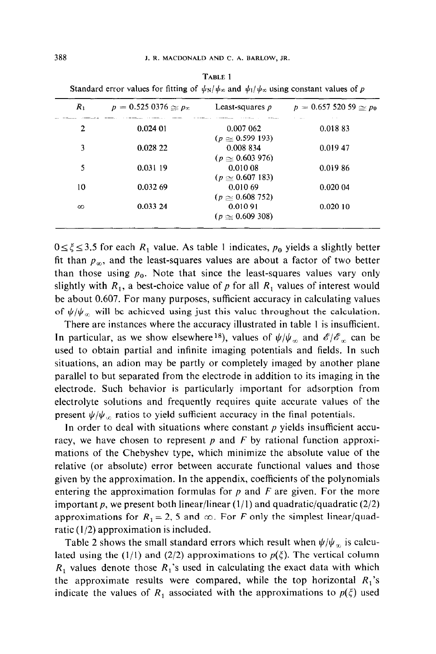| $R_1$    | $p = 0.525 0376 \approx p_{\infty}$ | Least-squares $p$                     | $p = 0.65752059 \approx p_0$ |
|----------|-------------------------------------|---------------------------------------|------------------------------|
| 2        | 0.02401                             | 0.007 062<br>$(p \approx 0.599\ 193)$ | 100000<br>0.01883            |
| 3        | 0.028 22                            | 0.008 834<br>$(p \simeq 0.603976)$    | 0.019 47                     |
| 5        | 0.031 19                            | 0.01008<br>$(p \simeq 0.607183)$      | 0.01986                      |
| 10       | 0.032 69                            | 0.010 69<br>$(p \ge 0.608752)$        | 0.020 04                     |
| $\infty$ | 0.033 24                            | 0.010 91<br>$(p \approx 0.609 308)$   | 0.02010                      |

**TABLE 1**  Standard error values for fitting of  $\frac{J(x)}{M(x)}$  and  $\frac{J(x)}{M(x)}$  using constant values of p

 $0 \le \xi \le 3.5$  for each  $R_1$  value. As table 1 indicates,  $p_0$  yields a slightly better fit than  $p_{\infty}$ , and the least-squares values are about a factor of two better than those using  $p_0$ . Note that since the least-squares values vary only slightly with  $R_1$ , a best-choice value of p for all  $R_1$  values of interest would be about 0.607. For many purposes, sufficient accuracy in calculating values of  $\psi/\psi_{\infty}$  will be achieved using just this value throughout the calculation.

There are instances where the accuracy illustrated in table I is insufficient. In particular, as we show elsewhere <sup>18</sup>), values of  $\psi/\psi_{\infty}$  and  $\mathscr{E}/\mathscr{E}_{\infty}$  can be used to obtain partial and infinite imaging potentials and fields. In such situations, an adion may be partly or completely imaged by another plane parallel to but separated from the electrode in addition to its imaging in the electrode. Such behavior is particularly important for adsorption from electrolyte solutions and frequently requires quite accurate values of the present  $\psi/\psi_{\infty}$  ratios to yield sufficient accuracy in the final potentials.

In order to deal with situations where constant  $p$  yields insufficient accuracy, we have chosen to represent p and *F* by rational function approximations of the Chebyshev type, which minimize the absolute value of the relative (or absolute) error between accurate functional values and those given by the approximation. In the appendix, coefficients of the polynomials entering the approximation formulas for p and *F* are given. For the more important p, we present both linear/linear (1/1) and quadratic/quadratic (2/2) approximations for  $R_1 = 2$ , 5 and  $\infty$ . For *F* only the simplest linear/quadratic  $(1/2)$  approximation is included.

Table 2 shows the small standard errors which result when  $\psi/\psi_{\infty}$  is calculated using the (1/1) and (2/2) approximations to  $p(\xi)$ . The vertical column  $R_1$  values denote those  $R_1$ 's used in calculating the exact data with which the approximate results were compared, while the top horizontal  $R_1$ 's indicate the values of  $R_1$  associated with the approximations to  $p(\xi)$  used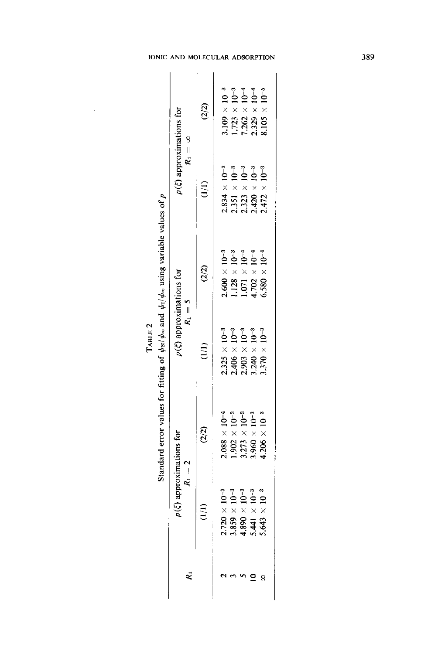| U<br>Į        | NI                    |
|---------------|-----------------------|
|               |                       |
|               |                       |
|               |                       |
|               |                       |
|               |                       |
|               |                       |
|               |                       |
|               |                       |
|               |                       |
|               |                       |
|               |                       |
|               |                       |
|               |                       |
|               |                       |
|               |                       |
|               |                       |
|               |                       |
|               |                       |
|               |                       |
|               |                       |
|               |                       |
|               |                       |
|               | $\ddot{\phantom{0}}$  |
|               |                       |
|               |                       |
|               |                       |
|               |                       |
|               |                       |
|               | ;<br><b>Sec.</b><br>- |
|               |                       |
|               |                       |
|               |                       |
|               |                       |
|               | !                     |
|               | t, c                  |
|               |                       |
| <b>ABLE 4</b> |                       |
|               |                       |
|               |                       |
|               |                       |
|               | :                     |
|               |                       |
|               |                       |
|               |                       |
|               |                       |
|               | i                     |
|               |                       |
|               |                       |
|               |                       |
|               |                       |
|               | ard e                 |
|               |                       |

 $\bar{\beta}$ 

|                                                                                                                                | (2/2)<br>approximations for<br>$R_1 = 2$         | $\hat{z}$                                                                                            | (2/2)<br>$p(\xi)$ approximations for<br>$R_1 = 5$                                                   | $R_1 = \infty$<br>(1/1)                                                                                                        | (2/2)<br>$p(\xi)$ approximations for                                                                                                   |
|--------------------------------------------------------------------------------------------------------------------------------|--------------------------------------------------|------------------------------------------------------------------------------------------------------|-----------------------------------------------------------------------------------------------------|--------------------------------------------------------------------------------------------------------------------------------|----------------------------------------------------------------------------------------------------------------------------------------|
|                                                                                                                                | $2.088 \times 10^{-4}$                           |                                                                                                      | $2.600 \times 10^{-3}$                                                                              |                                                                                                                                |                                                                                                                                        |
| $2.720 \times 10^{-3}$<br>$3.859 \times 10^{-3}$<br>$4.890 \times 10^{-3}$<br>$5.441 \times 10^{-3}$<br>$5.643 \times 10^{-3}$ | $1.902 \times 10^{-3}$                           |                                                                                                      |                                                                                                     |                                                                                                                                |                                                                                                                                        |
|                                                                                                                                | $3.273 \times 10^{-3}$<br>$3.960 \times 10^{-3}$ | $2.325 \times 10^{-3}$<br>$2.406 \times 10^{-3}$<br>$2.903 \times 10^{-3}$<br>$3.240 \times 10^{-3}$ | $\begin{array}{l} 1.128 \times 10^{-9} \\ 1.071 \times 10^{-4} \\ 4.702 \times 10^{-4} \end{array}$ | $2.834 \times 10^{-3}$<br>$2.351 \times 10^{-3}$<br>$2.323 \times 10^{-3}$<br>$2.420 \times 10^{-3}$<br>$2.472 \times 10^{-3}$ | $3.109 \times 10^{-3}$<br>1.723 × 10 <sup>-3</sup><br>7.262 × 10 <sup>-4</sup><br>2.329 × 10 <sup>-4</sup><br>8.105 × 10 <sup>-5</sup> |
|                                                                                                                                |                                                  |                                                                                                      |                                                                                                     |                                                                                                                                |                                                                                                                                        |
|                                                                                                                                | $4.206 \times 10^{-3}$                           | $1.370 \times 10^{-3}$                                                                               | $5.580 \times 10^{-4}$                                                                              |                                                                                                                                |                                                                                                                                        |

#### **D MOLECULAR ADSORPTION**

389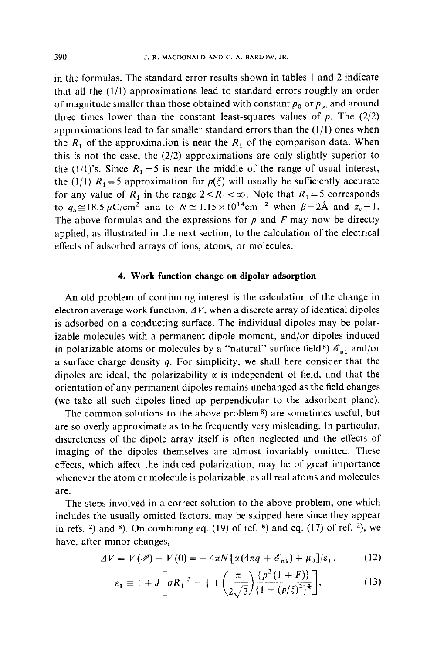in the formulas. The standard error results shown in tables I and 2 indicate that all the (l/l) approximations lead to standard errors roughly an order of magnitude smaller than those obtained with constant  $p_0$  or  $p_\infty$  and around three times lower than the constant least-squares values of  $p$ . The  $(2/2)$ approximations lead to far smaller standard errors than the  $(1/1)$  ones when the  $R_1$  of the approximation is near the  $R_1$  of the comparison data. When this is not the case, the  $(2/2)$  approximations are only slightly superior to the (1/1)'s. Since  $R_1 = 5$  is near the middle of the range of usual interest, the (1/1)  $R_1 = 5$  approximation for  $p(\xi)$  will usually be sufficiently accurate for any value of  $R_1$  in the range  $2 \le R_1 < \infty$ . Note that  $R_1 = 5$  corresponds to  $q_a \approx 18.5 \,\mu\text{C/cm}^2$  and to  $N \approx 1.15 \times 10^{14} \text{cm}^{-2}$  when  $\beta = 2\text{\AA}$  and  $z_v = 1$ . The above formulas and the expressions for  $p$  and  $F$  may now be directly applied, as illustrated in the next section, to the calculation of the electrical effects of adsorbed arrays of ions, atoms, or molecules.

### **4. Work function change on dipolar adsorption**

An old problem of continuing interest is the calculation of the change in electron average work function,  $\Delta V$ , when a discrete array of identical dipoles is adsorbed on a conducting surface. The individual dipoles may be polarizable molecules with a permanent dipole moment, and/or dipoles induced in polarizable atoms or molecules by a "natural" surface field<sup>8</sup>)  $\mathscr{E}_{n1}$  and/or a surface charge density *q.* For simplicity, we shall here consider that the dipoles are ideal, the polarizability  $\alpha$  is independent of field, and that the orientation of any permanent dipoles remains unchanged as the field changes (we take all such dipoles lined up perpendicular to the adsorbent plane).

The common solutions to the above problem<sup>8</sup>) are sometimes useful, but are so overly approximate as to be frequently very misleading. In particular, discreteness of the dipole array itself is often neglected and the effects of imaging of the dipoles themselves are almost invariably omitted. These effects, which affect the induced polarization, may be of great importance whenever the atom or molecule is polarizable, as all real atoms and molecules are.

The steps involved in a correct solution to the above problem, one which includes the usually omitted factors, may be skipped here since they appear in refs. <sup>2</sup>) and <sup>8</sup>). On combining eq. (19) of ref. <sup>8</sup>) and eq. (17) of ref. <sup>2</sup>), we have, after minor changes,

$$
\Delta V = V(\mathscr{P}) - V(0) = -4\pi N \left[ \alpha (4\pi q + \mathscr{E}_{\text{nl}}) + \mu_0 \right] / \varepsilon_1, \quad (12)
$$

$$
\varepsilon_1 \equiv 1 + J \bigg[ \sigma R_1^{-3} - \frac{1}{4} + \bigg( \frac{\pi}{2\sqrt{3}} \bigg) \frac{\{ p^2 (1 + F) \}}{\{ 1 + (p/\xi)^2 \}^{\frac{1}{3}}} \bigg],\tag{13}
$$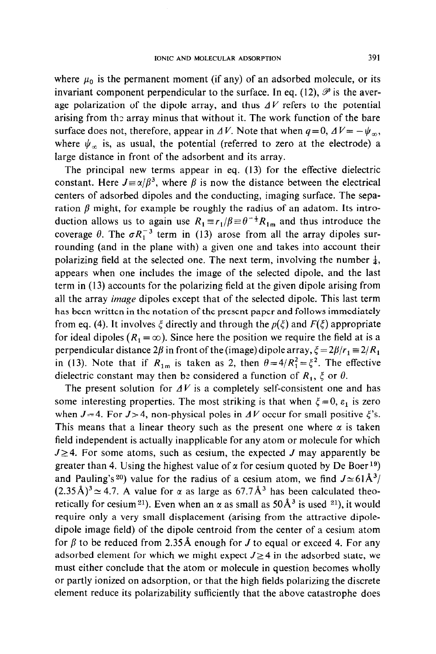where  $\mu_0$  is the permanent moment (if any) of an adsorbed molecule, or its invariant component perpendicular to the surface. In eq. (12),  $\mathscr P$  is the average polarization of the dipole array, and thus  $\Delta V$  refers to the potential arising from the array minus that without it. The work function of the bare surface does not, therefore, appear in  $\Delta V$ . Note that when  $q=0$ ,  $\Delta V=-\psi_{\infty}$ , where  $\psi_{\infty}$  is, as usual, the potential (referred to zero at the electrode) a large distance in front of the adsorbent and its array.

The principal new terms appear in eq. (13) for the effective dielectric constant. Here  $J \equiv \alpha/\beta^3$ , where  $\beta$  is now the distance between the electrical centers of adsorbed dipoles and the conducting, imaging surface. The separation  $\beta$  might, for example be roughly the radius of an adatom. Its introduction allows us to again use  $R_1 \equiv r_1/\beta \equiv \theta^{-\frac{1}{2}}R_{1m}$  and thus introduce the coverage  $\theta$ . The  $\sigma R_1^{-3}$  term in (13) arose from all the array dipoles surrounding (and in the plane with) a given one and takes into account their polarizing field at the selected one. The next term, involving the number  $\frac{1}{4}$ , appears when one includes the image of the selected dipole, and the last term in (13) accounts for the polarizing field at the given dipole arising from all the array *image* dipoles except that of the selected dipole. This last term has been written in the notation of the present paper and follows immediately from eq. (4). It involves  $\xi$  directly and through the  $p(\xi)$  and  $F(\xi)$  appropriate for ideal dipoles  $(R_1 = \infty)$ . Since here the position we require the field at is a perpendicular distance 2 $\beta$  in front of the (image) dipole array,  $\xi = 2\beta/r_1 = 2/R_1$ in (13). Note that if  $R_{1m}$  is taken as 2, then  $\theta = 4/R_1^2 = \zeta^2$ . The effective dielectric constant may then be considered a function of  $R_1$ ,  $\xi$  or  $\theta$ .

The present solution for  $\Delta V$  is a completely self-consistent one and has some interesting properties. The most striking is that when  $\xi=0$ ,  $\varepsilon_1$  is zero when  $J=4$ . For  $J>4$ , non-physical poles in  $\Delta V$  occur for small positive  $\xi$ 's. This means that a linear theory such as the present one where  $\alpha$  is taken field independent is actually inapplicable for any atom or molecule for which  $J \geq 4$ . For some atoms, such as cesium, the expected J may apparently be greater than 4. Using the highest value of  $\alpha$  for cesium quoted by De Boer<sup>19</sup>) and Pauling's 20) value for the radius of a cesium atom, we find  $J \approx 61\text{\AA}^3$ /  $(2.35\text{ Å})^3 \approx 4.7$ . A value for  $\alpha$  as large as 67.7Å<sup>3</sup> has been calculated theoretically for cesium <sup>21</sup>). Even when an  $\alpha$  as small as 50 Å<sup>3</sup> is used <sup>21</sup>), it would require only a very small displacement (arising from the attractive dipoledipole image field) of the dipole centroid from the center of a cesium atom for  $\beta$  to be reduced from 2.35 Å enough for *J* to equal or exceed 4. For any adsorbed element for which we might expect  $J \geq 4$  in the adsorbed state, we must either conclude that the atom or molecule in question becomes wholly or partly ionized on adsorption, or that the high fields polarizing the discrete element reduce its polarizability sufficiently that the above catastrophe does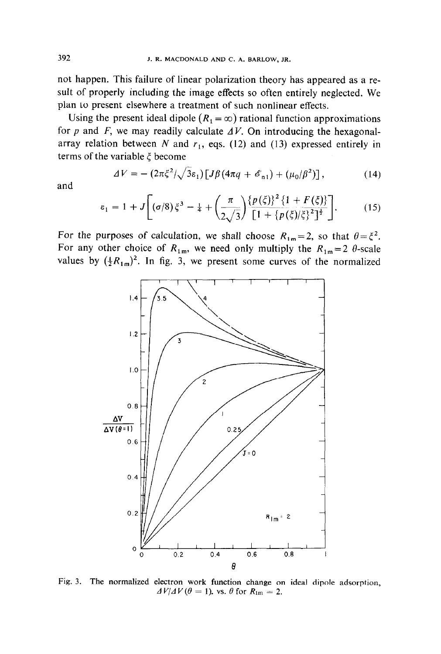not happen. This failure of linear polarization theory has appeared as a result of properly including the image effects so often entirely neglected. We plan to present elsewhere a treatment of such nonlinear effects.

Using the present ideal dipole  $(R_1 = \infty)$  rational function approximations for  $p$  and  $F$ , we may readily calculate  $\Delta V$ . On introducing the hexagonalarray relation between  $N$  and  $r_1$ , eqs. (12) and (13) expressed entirely in terms of the variable  $\xi$  become

$$
\Delta V = -\left(2\pi \xi^2/\sqrt{3}\epsilon_1\right) \left[J\beta \left(4\pi q + \mathscr{E}_{\text{n}1}\right) + \left(\mu_0/\beta^2\right)\right],\tag{14}
$$

and

$$
\varepsilon_1 = 1 + J \left[ (\sigma/8) \xi^3 - \frac{1}{4} + \left( \frac{\pi}{2\sqrt{3}} \right) \frac{\{p(\xi)\}^2 \{1 + F(\xi)\}}{\left[1 + \{p(\xi)/\xi\}^2\right]^{\frac{1}{2}}} \right].
$$
 (15)

For the purposes of calculation, we shall choose  $R_{1m} = 2$ , so that  $\theta = \xi^2$ . For any other choice of  $R_{1m}$ , we need only multiply the  $R_{1m} = 2$   $\theta$ -scale values by  $(\frac{1}{2}R_{1m})^2$ . In fig. 3, we present some curves of the normalized



Fig. 3. The normalized electron work function change on ideal dipole adsorption,  $\Delta V/\Delta V (\theta = 1)$ , vs.  $\theta$  for  $R_{\text{lm}} = 2$ .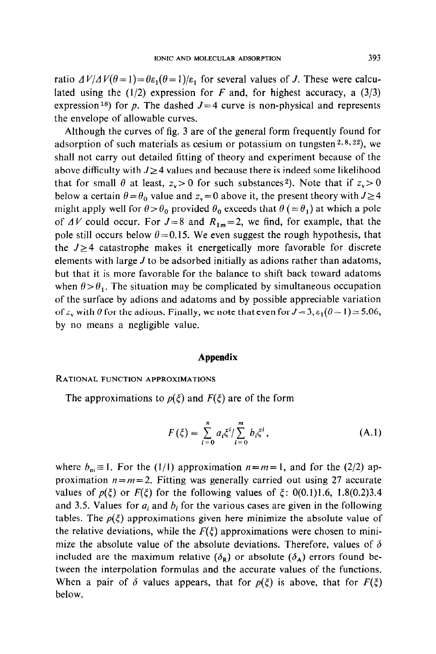ratio  $\Delta V/\Delta V(\theta=1) = \theta \epsilon_1(\theta=1)/\epsilon_1$  for several values of J. These were calculated using the  $(1/2)$  expression for *F* and, for highest accuracy, a  $(3/3)$ expression <sup>18</sup>) for p. The dashed  $J=4$  curve is non-physical and represents the envelope of allowable curves.

Although the curves of fig. 3 are of the general form frequently found for adsorption of such materials as cesium or potassium on tungsten<sup>2,8,22</sup>), we shall not carry out detailed fitting of theory and experiment because of the above difficulty with  $J \geq 4$  values and because there is indeed some likelihood that for small  $\theta$  at least,  $z_v > 0$  for such substances<sup>2</sup>). Note that if  $z_v > 0$ below a certain  $\theta = \theta_0$  value and  $z_y = 0$  above it, the present theory with  $J \ge 4$ might apply well for  $\theta > \theta_0$  provided  $\theta_0$  exceeds that  $\theta$  ( $\equiv \theta_1$ ) at which a pole of  $\Delta V$  could occur. For  $J=8$  and  $R_{1m}=2$ , we find, for example, that the pole still occurs below  $\theta = 0.15$ . We even suggest the rough hypothesis, that the  $J \geq 4$  catastrophe makes it energetically more favorable for discrete elements with large *J* to be adsorbed initially as adions rather than adatoms, but that it is more favorable for the balance to shift back toward adatoms when  $\theta > \theta_1$ . The situation may be complicated by simultaneous occupation of the surface by adions and adatoms and by possible appreciable variation of  $z_v$  with  $\theta$  for the adions. Finally, we note that even for  $J=3, \varepsilon_1(\theta=1) \approx 5.06$ , by no means a negligible value.

### **Appendix**

### **RATIONAL FUNCTION APPROXIMATIONS**

The approximations to  $p(\xi)$  and  $F(\xi)$  are of the form

$$
F(\xi) = \sum_{i=0}^{n} a_i \xi^i / \sum_{i=0}^{m} b_i \xi^i, \qquad (A.1)
$$

where  $b_m \equiv 1$ . For the (1/1) approximation  $n=m=1$ , and for the (2/2) approximation  $n = m = 2$ . Fitting was generally carried out using 27 accurate values of  $p(\xi)$  or  $F(\xi)$  for the following values of  $\xi$ : 0(0.1)1.6, 1.8(0.2)3.4 and 3.5. Values for  $a_i$  and  $b_i$  for the various cases are given in the following tables. The  $p(\xi)$  approximations given here minimize the absolute value of the relative deviations, while the  $F(\xi)$  approximations were chosen to minimize the absolute value of the absolute deviations. Therefore, values of  $\delta$ included are the maximum relative  $(\delta_{\bf R})$  or absolute  $(\delta_{\bf A})$  errors found between the interpolation formulas and the accurate values of the functions. When a pair of  $\delta$  values appears, that for  $p(\xi)$  is above, that for  $F(\xi)$ below.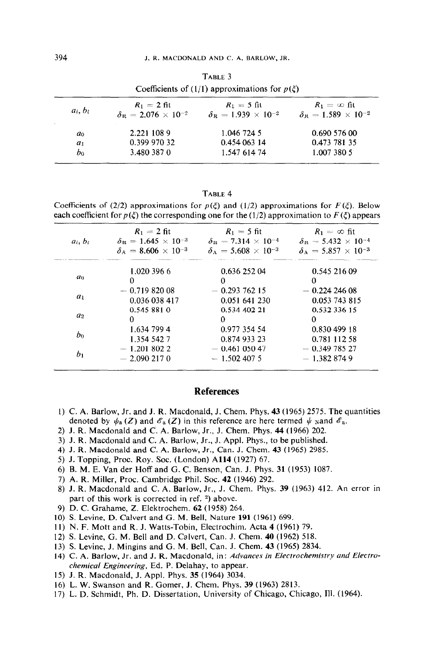|            |                                         | Coefficients of (1/1) approximations for $p(\xi)$ |                                         |
|------------|-----------------------------------------|---------------------------------------------------|-----------------------------------------|
| $a_i, b_i$ | $R_1 = 2$ fit                           | $R_1 = 5$ fit                                     | $R_1 = \infty$ fit                      |
|            | $\delta_{\rm B} = 2.076 \times 10^{-2}$ | $\delta_{\rm B} = 1.939 \times 10^{-2}$           | $\delta_{\rm B} = 1.589 \times 10^{-2}$ |
| $a_0$      | 2.221 108 9                             | 1.046 724 5                                       | 0.690 576 00                            |
| $a_1$      | 0.399 970 32                            | 0.454 063 14                                      | 0.473 781 35                            |
| bo         | 3.480 387 0                             | 1.547 614 74                                      | 1.007 380 5                             |

**TABLE 4** 

Coefficients of (2/2) approximations for  $p(\xi)$  and (1/2) approximations for  $F(\xi)$ . Below each coefficient for  $p(\xi)$  the corresponding one for the (1/2) approximation to  $F(\xi)$  appears

|                | $R_1 = 2$ fit                           | $R_1 = 5$ fit                           | $R_1 = \infty$ fit                      |
|----------------|-----------------------------------------|-----------------------------------------|-----------------------------------------|
| $a_i, b_i$     | $\delta_{\rm B} = 1.645 \times 10^{-3}$ | $\delta_{\rm B} = 7.314 \times 10^{-4}$ | $\delta_{\rm B} = 5.432 \times 10^{-4}$ |
|                | $\delta_{\rm A} = 8.606 \times 10^{-3}$ | $\delta_A = 5.608 \times 10^{-3}$       | $\delta_{A} = 5.857 \times 10^{-3}$     |
|                | 1.020 396 6                             | 0.636 252 04                            | 0.545 216 09                            |
| a <sub>0</sub> | 0                                       | $^{\circ}$                              | $\Omega$                                |
|                | $-0.71982008$                           | $-0.29376215$                           | $-0.22424608$                           |
| $a_1$          | 0.036 038 417                           | 0.051 641 230                           | 0.053 743 815                           |
|                | 0.545 881 0                             | 0.534 402 21                            | 0.532 336 15                            |
| a <sub>2</sub> | 0                                       | $\Omega$                                | 0                                       |
|                | 1.634 799 4                             | 0.977 354 54                            | 0.830 499 18                            |
| bo             | 1.354 542 7                             | 0.874 933 23                            | 0.781 112 58                            |
|                | $-1.2018022$                            | $-0.46105047$                           | $-0.34978527$                           |
| b <sub>1</sub> | $-2.0902170$                            | $-1.5024075$                            | $-1.3828749$                            |

### **References**

- I) C. A. Barlow, Jr. and J. R. Macdonald, J. Chem. Phys. 43 (1965) 2575. The quantities denoted by  $\psi_a(Z)$  and  $\mathscr{E}_a(Z)$  in this reference are here termed  $\psi$  wand  $\mathscr{E}_a$ .
- 2) J. R. Macdonald and C. A. Barlow, Jr., J. Chem. Phys. 44 (1966) 202.
- 3) J. R. Macdonald and C. A. Barlow, Jr., J. Appl. Phys., to be published.
- 4) J. R. Macdonald and C. A. Barlow, Jr., Can. J. Chem. 43 (1965) 2985.
- 5) J. Topping, Proc. Roy. Soc. (London) A114 (1927) 67.
- 6) B. M. E. Van der Hoff and G. C. Benson, Can. J. Phys. 31 (1953) 1087.
- 7) A. R. Miller, Proc. Cambridge Phil. Soc. 42 (1946) 292.
- 8) J. R. Macdonald and C. A. Barlow, Jr., J. Chem. Phys. 39 (1963) 412. An error in part of this work is corrected in ref.  $2)$  above.
- 9) D. C. Grahame, 2. Elektrochem. 62 (1958) 264.
- 10) S. Levine, D. Calvert and G. M. Bell, Nature 191 (1961) 699.
- 11) N. F. Mott and R. J. Watts-Tobin, Electrochim. Acta 4 (1961) 79.
- 12) S. Levine, G. M. Bell and D. Calvert, Can. J. Chem. 40 (1962) 518.
- 13) S. Levine, J. Mingins and G. M. Bell, Can. J. Chem. 43 (1965) 2834.
- 14) C. A. Barlow, Jr. and J. R. Macdonald, in: Advances in *Electrochemistry and Electrochemical Engineering,* Ed. P. Delahay, to appear.
- 15) J. R. Macdonald, J. Appl. Phys. 35 (1964) 3034.
- 16) L. W. Swanson and R. Comer, J. Chem. Phys. 39 (1963) 2813.
- 17) L. D. Schmidt, Ph. D. Dissertation, University of Chicago, Chicago, Ill. (1964).